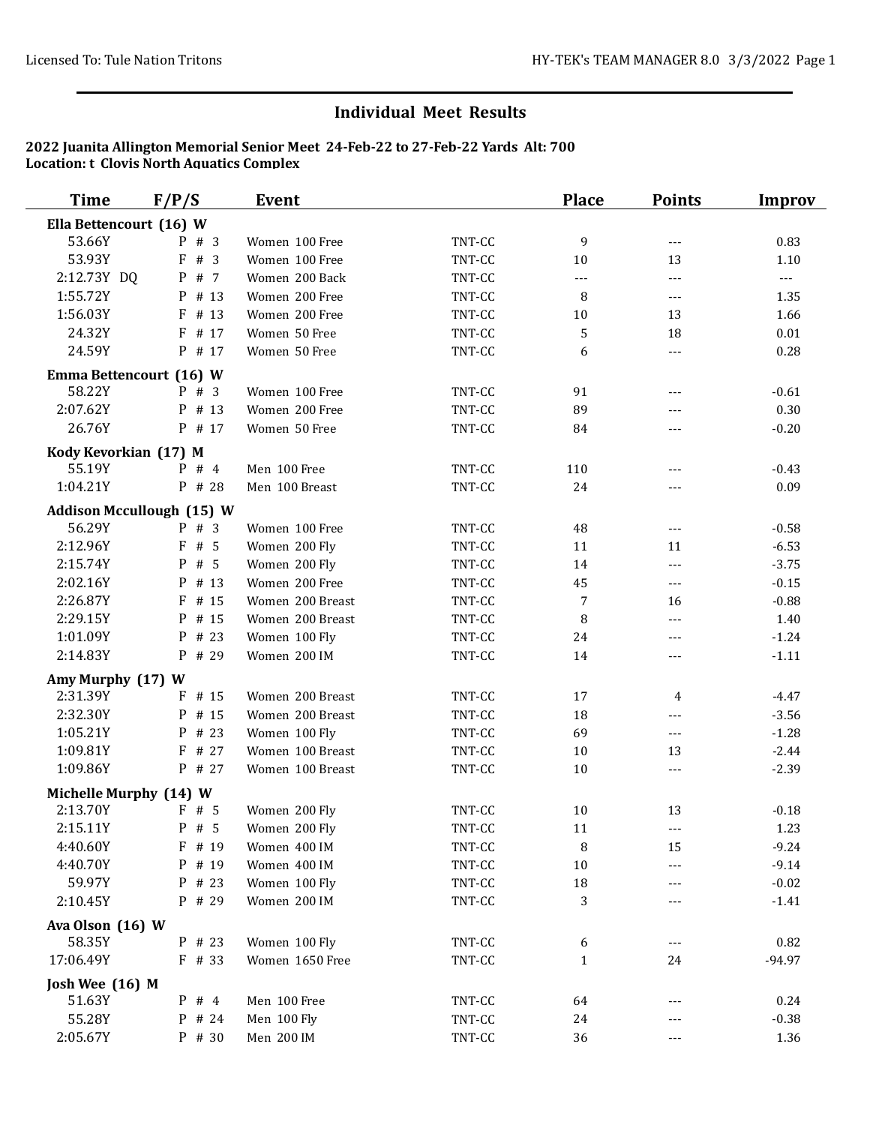## **Individual Meet Results**

## **2022 Juanita Allington Memorial Senior Meet 24-Feb-22 to 27-Feb-22 Yards Alt: 700 Location: t Clovis North Aquatics Complex**

| <b>Time</b>                      | F/P/S    | Event            |        | <b>Place</b> | <b>Points</b>            | Improv   |
|----------------------------------|----------|------------------|--------|--------------|--------------------------|----------|
| Ella Bettencourt (16) W          |          |                  |        |              |                          |          |
| 53.66Y                           | $P$ # 3  | Women 100 Free   | TNT-CC | 9            | $\overline{a}$           | 0.83     |
| 53.93Y                           | # 3<br>F | Women 100 Free   | TNT-CC | $10\,$       | 13                       | 1.10     |
| 2:12.73Y DQ                      | P # 7    | Women 200 Back   | TNT-CC | $---$        | $---$                    | $---$    |
| 1:55.72Y                         | P # 13   | Women 200 Free   | TNT-CC | 8            | $\qquad \qquad - -$      | 1.35     |
| 1:56.03Y                         | $F$ # 13 | Women 200 Free   | TNT-CC | $10\,$       | 13                       | 1.66     |
| 24.32Y                           | F # 17   | Women 50 Free    | TNT-CC | 5            | 18                       | 0.01     |
| 24.59Y                           | P # 17   | Women 50 Free    | TNT-CC | 6            | $---$                    | 0.28     |
| Emma Bettencourt (16) W          |          |                  |        |              |                          |          |
| 58.22Y                           | $P$ # 3  | Women 100 Free   | TNT-CC | 91           | $\qquad \qquad - -$      | $-0.61$  |
| 2:07.62Y                         | P # 13   | Women 200 Free   | TNT-CC | 89           | $\overline{\phantom{a}}$ | 0.30     |
| 26.76Y                           | P # 17   | Women 50 Free    | TNT-CC | 84           | $---$                    | $-0.20$  |
| Kody Kevorkian (17) M            |          |                  |        |              |                          |          |
| 55.19Y                           | $P$ # 4  | Men 100 Free     | TNT-CC | 110          | $---$                    | $-0.43$  |
| 1:04.21Y                         | P # 28   | Men 100 Breast   | TNT-CC | 24           | $---$                    | 0.09     |
| <b>Addison Mccullough (15) W</b> |          |                  |        |              |                          |          |
| 56.29Y                           | $P$ # 3  | Women 100 Free   | TNT-CC | 48           | $\scriptstyle \cdots$ .  | $-0.58$  |
| 2:12.96Y                         | F#5      | Women 200 Fly    | TNT-CC | 11           | 11                       | $-6.53$  |
| 2:15.74Y                         | P # 5    | Women 200 Fly    | TNT-CC | 14           | $\overline{a}$           | $-3.75$  |
| 2:02.16Y                         | P # 13   | Women 200 Free   | TNT-CC | 45           | $\overline{a}$           | $-0.15$  |
| 2:26.87Y                         | $F$ # 15 | Women 200 Breast | TNT-CC | 7            | 16                       | $-0.88$  |
| 2:29.15Y                         | P # 15   | Women 200 Breast | TNT-CC | 8            | $\overline{a}$           | 1.40     |
| 1:01.09Y                         | P # 23   | Women 100 Fly    | TNT-CC | 24           | ---                      | $-1.24$  |
| 2:14.83Y                         | P # 29   | Women 200 IM     | TNT-CC | 14           | $\qquad \qquad - -$      | $-1.11$  |
| Amy Murphy (17) W                |          |                  |        |              |                          |          |
| 2:31.39Y                         | $F$ # 15 | Women 200 Breast | TNT-CC | 17           | 4                        | $-4.47$  |
| 2:32.30Y                         | P # 15   | Women 200 Breast | TNT-CC | 18           | $\overline{a}$           | $-3.56$  |
| 1:05.21Y                         | P # 23   | Women 100 Fly    | TNT-CC | 69           | $\scriptstyle \cdots$ .  | $-1.28$  |
| 1:09.81Y                         | $F$ # 27 | Women 100 Breast | TNT-CC | 10           | 13                       | $-2.44$  |
| 1:09.86Y                         | P # 27   | Women 100 Breast | TNT-CC | $10\,$       | $\overline{a}$           | $-2.39$  |
| Michelle Murphy (14) W           |          |                  |        |              |                          |          |
| 2:13.70Y                         | F#5      | Women 200 Fly    | TNT-CC | 10           | 13                       | $-0.18$  |
| 2:15.11Y                         | $P$ # 5  | Women 200 Fly    | TNT-CC | 11           |                          | 1.23     |
| 4:40.60Y                         | F # 19   | Women 400 IM     | TNT-CC | 8            | 15                       | $-9.24$  |
| 4:40.70Y                         | P # 19   | Women 400 IM     | TNT-CC | $10\,$       | ---                      | $-9.14$  |
| 59.97Y                           | P # 23   | Women 100 Fly    | TNT-CC | 18           |                          | $-0.02$  |
| 2:10.45Y                         | P # 29   | Women 200 IM     | TNT-CC | 3            |                          | $-1.41$  |
| Ava Olson (16) W                 |          |                  |        |              |                          |          |
| 58.35Y                           | P # 23   | Women 100 Fly    | TNT-CC | 6            | ---                      | 0.82     |
| 17:06.49Y                        | $F$ # 33 | Women 1650 Free  | TNT-CC | $\mathbf{1}$ | 24                       | $-94.97$ |
| Josh Wee (16) M                  |          |                  |        |              |                          |          |
| 51.63Y                           | $P$ # 4  | Men 100 Free     | TNT-CC | 64           |                          | 0.24     |
| 55.28Y                           | P # 24   | Men 100 Fly      | TNT-CC | 24           | ---                      | $-0.38$  |
| 2:05.67Y                         | P # 30   | Men 200 IM       | TNT-CC | 36           | $---$                    | 1.36     |
|                                  |          |                  |        |              |                          |          |